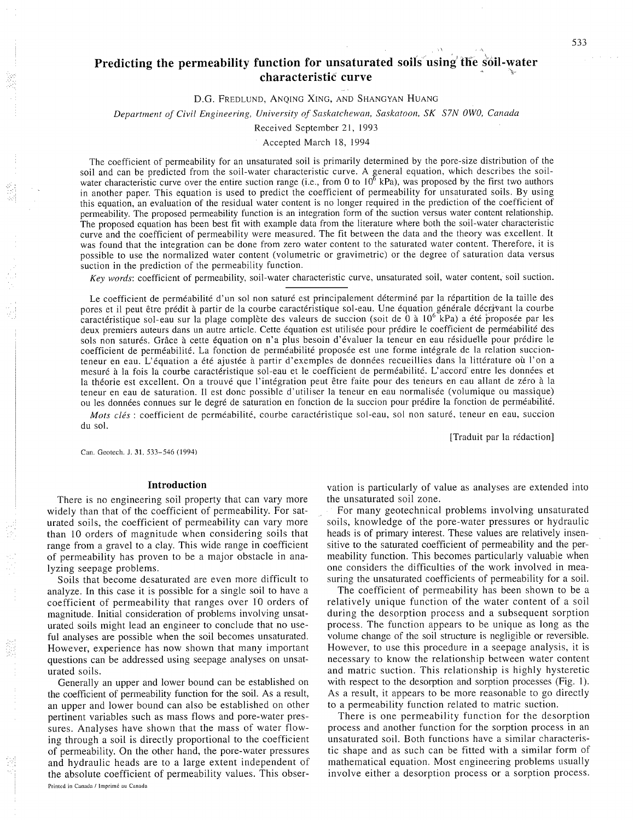# **Predicting the permeability function for unsaturated soils using the soil-water characteristic curve**

#### D.G. FREDLUND, ANOING XING, AND SHANGYAN HUANG

*Department of Civil Engineering, University of Saskatchewan, Saskatoon, SK S7N 0W0, Canada* 

## Received September 21, 1993

#### Accepted March 18, 1994

The coefficient of permeability for an unsaturated soil is primarily determined by the pore-size distribution of the soil and can be predicted from the soil-water characteristic curve. A general equation, which describes the soil-water characteristic curve over the entire suction range (i.e., from 0 to  $10^6$  kPa), was proposed by the f in another paper. This equation is used to predict the coefficient of permeability for unsaturated soils. By using this equation, an evaluation of the residual water content is no longer required in the prediction of the coefficient of permeability. The proposed permeability function is an integration form of the suction versus water content relationship. The proposed equation has been best fit with example data from the literature where both the soil-water characteristic curve and the coefficient of permeability were measured. The fit between the data and the theory was excellent. It was found that the integration can be done from zero water content to the saturated water content. Therefore, it is possible to use the normalized water content (volumetric or gravimetric) or the degree of saturation data versus suction in the prediction of the permeability function.

*Key words:* coefficient of permeability, soil-water characteristic curve, unsaturated soil, water content, soil suction.

Le coefficient de perméabilité d'un sol non saturé est principalement déterminé par la répartition de la taille des pores et il peut être prédit à partir de la courbe caractéristique sol-eau. Une équation générale décrivant la courbe caractéristique sol-eau sur la plage complète des valeurs de succion (soit de 0 à 10<sup>6</sup> kPa) a été proposée par les deux premiers auteurs dans un autre article. Cette équation est utilisée pour prédire le coefficient de perméabilité des sols non saturés. Grâce à cette équation on n'a plus besoin d'évaluer la teneur en eau résiduelle pour prédire le coefficient de perméabilité. La fonction de perméabilité proposée est une forme intégrale de la relation succionteneur en eau. L'équation a été ajustée à partir d'exemples de données recueillies dans la littérature où l'on a mesuré à la fois la courbe caractéristique sol-eau et le coefficient de perméabilité. L'accord entre les données et la théorie est excellent. On a trouvé que l'intégration peut être faite pour des teneurs en eau allant de zéro à la teneur en eau de saturation. Il est donc possible d'utiliser la teneur en eau normalisée (volumique ou massique) ou les données connues sur le degré de saturation en fonction de la succion pour prédire la fonction de perméabilité.

*Mots clés* : coefficient de perméabilité, courbe caractéristique sol-eau, sol non saturé, teneur en eau, succion du sol.

[Traduit par la rédaction]

Can. Geotech. J. **31.** 533-546 (1994)

## **Introduction**

There is no engineering soil property that can vary more widely than that of the coefficient of permeability. For saturated soils, the coefficient of permeability can vary more than 10 orders of magnitude when considering soils that range from a gravel to a clay. This wide range in coefficient of permeability has proven to be a major obstacle in analyzing seepage problems.

Soils that become desaturated are even more difficult to analyze. In this case it is possible for a single soil to have a coefficient of permeability that ranges over 10 orders of magnitude. Initial consideration of problems involving unsaturated soils might lead an engineer to conclude that no useful analyses are possible when the soil becomes unsaturated. However, experience has now shown that many important questions can be addressed using seepage analyses on unsaturated soils.

Generally an upper and lower bound can be established on the coefficient of permeability function for the soil. As a result, an upper and lower bound can also be established on other pertinent variables such as mass flows and pore-water pressures. Analyses have shown that the mass of water flowing through a soil is directly proportional to the coefficient of permeability. On the other hand, the pore-water pressures and hydraulic heads are to a large extent independent of the absolute coefficient of permeability values. This obser-Printed in Canada / Imprimé au Canada

vation is particularly of value as analyses are extended into the unsaturated soil zone.

For many geotechnical problems involving unsaturated soils, knowledge of the pore-water pressures or hydraulic heads is of primary interest. These values are relatively insensitive to the saturated coefficient of permeability and the permeability function. This becomes particularly valuable when one considers the difficulties of the work involved in measuring the unsaturated coefficients of permeability for a soil.

The coefficient of permeability has been shown to be a relatively unique function of the water content of a soil during the desorption process and a subsequent sorption process. The function appears to be unique as long as the volume change of the soil structure is negligible or reversible. However, to use this procedure in a seepage analysis, it is necessary to know the relationship between water content and matric suction. This relationship is highly hysteretic with respect to the desorption and sorption processes (Fig. 1). As a result, it appears to be more reasonable to go directly to a permeability function related to matric suction.

There is one permeability function for the desorption process and another function for the sorption process in an unsaturated soil. Both functions have a similar characteristic shape and as such can be fitted with a similar form of mathematical equation. Most engineering problems usually involve either a desorption process or a sorption process.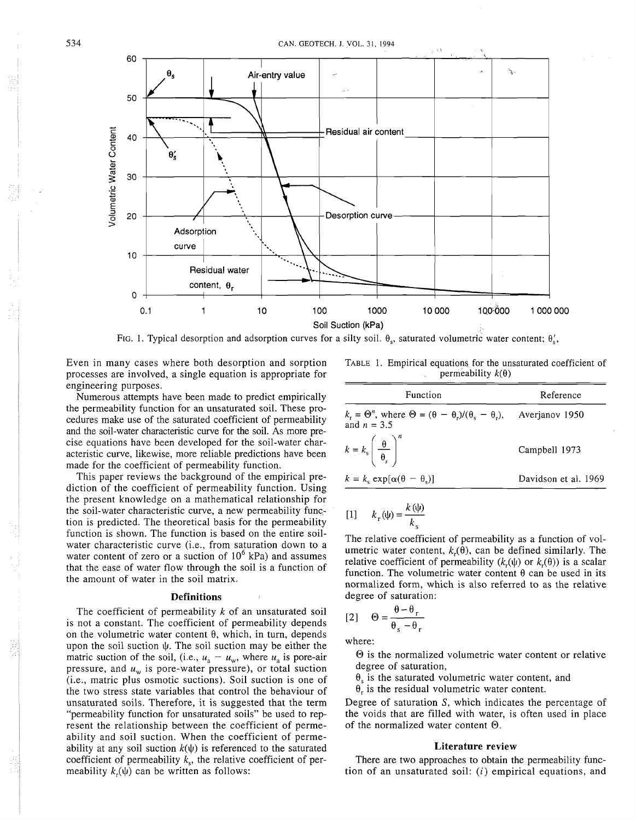

FIG. 1. Typical desorption and adsorption curves for a silty soil.  $\theta_0$ , saturated volumetric water content;  $\theta'_0$ ,

Even in many cases where both desorption and sorption processes are involved, a single equation is appropriate for engineering purposes.

Numerous attempts have been made to predict empirically the permeability function for an unsaturated soil. These procedures make use of the saturated coefficient of permeability and the soil-water characteristic curve for the soil. As more precise equations have been developed for the soil-water characteristic curve, likewise, more reliable predictions have been made for the coefficient of permeability function.

This paper reviews the background of the empirical prediction of the coefficient of permeability function. Using the present knowledge on a mathematical relationship for the soil-water characteristic curve, a new permeability function is predicted. The theoretical basis for the permeability function is shown. The function is based on the entire soilwater characteristic curve (i.e., from saturation down to a water content of zero or a suction of  $10^6$  kPa) and assumes that the ease of water flow through the soil is a function of the amount of water in the soil matrix.

#### **Definitions**

The coefficient of permeability  $k$  of an unsaturated soil is not a constant. The coefficient of permeability depends on the volumetric water content  $\theta$ , which, in turn, depends upon the soil suction  $\psi$ . The soil suction may be either the matric suction of the soil, (i.e.,  $u_a - u_w$ , where  $u_a$  is pore-air pressure, and  $u_w$  is pore-water pressure), or total suction (i.e., matric plus osmotic suctions). Soil suction is one of the two stress state variables that control the behaviour of unsaturated soils. Therefore, it is suggested that the term "permeability function for unsaturated soils" be used to represent the relationship between the coefficient of permeability and soil suction. When the coefficient of permeability at any soil suction  $k(\psi)$  is referenced to the saturated coefficient of permeability  $k<sub>s</sub>$ , the relative coefficient of permeability  $k(\psi)$  can be written as follows:

TABLE 1. Empirical equations for the unsaturated coefficient of permeability  $k(\theta)$ 

| Function                                                                                                        | Reference            |  |  |  |
|-----------------------------------------------------------------------------------------------------------------|----------------------|--|--|--|
| $k_r = \Theta^n$ , where $\Theta = (\theta - \theta_r)/(\theta_s - \theta_r)$ , Averjanov 1950<br>and $n = 3.5$ |                      |  |  |  |
| $k = k_{\rm s} \left( \frac{\theta}{\theta_{\rm s}} \right)^n$                                                  | Campbell 1973        |  |  |  |
| $k = k_s \exp[\alpha(\theta - \theta_s)]$                                                                       | Davidson et al. 1969 |  |  |  |

$$
[1] \qquad k_{\rm r}(\psi) = \frac{k(\psi)}{k_{\rm s}}
$$

The relative coefficient of permeability as a function of volumetric water content,  $k_r(\theta)$ , can be defined similarly. The relative coefficient of permeability  $(k_r(\psi))$  or  $k_r(\theta)$  is a scalar function. The volumetric water content  $\theta$  can be used in its normalized form, which is also referred to as the relative degree of saturation:

$$
[2] \quad \Theta = \frac{\theta - \theta_r}{\theta_s - \theta_r}
$$

where:

@ is the normalized volumetric water content or relative degree of saturation,

 $\theta_s$  is the saturated volumetric water content, and

 $\theta_r$  is the residual volumetric water content.

Degree of saturation S, which indicates the percentage of the voids that are filled with water, is often used in place of the normalized water content  $\Theta$ .

#### **Literature review**

There are two approaches to obtain the permeability function of an unsaturated soil:  $(i)$  empirical equations, and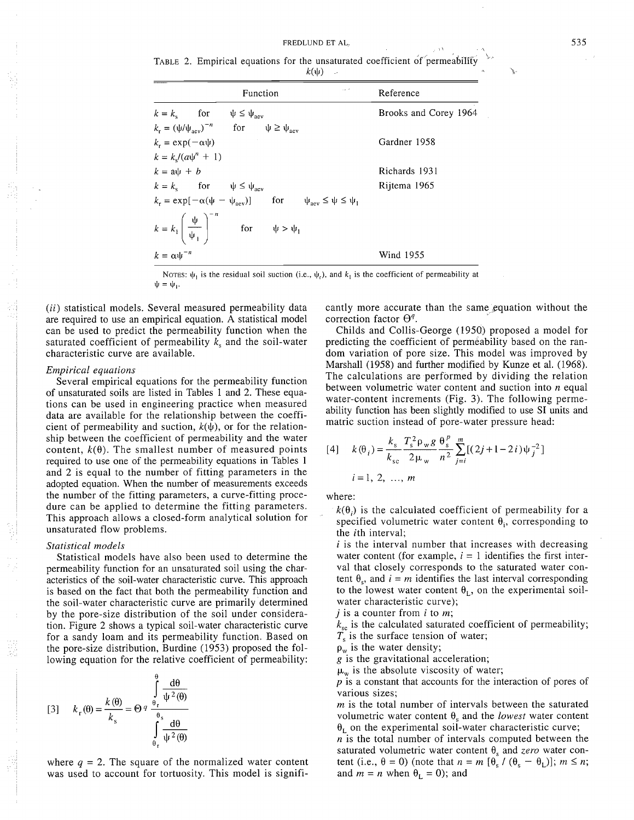TABLE 2. Empirical equations for the unsaturated coefficient of permeability  $k(\Psi)$ 

| Function                                                                                                                    | Reference             |  |  |
|-----------------------------------------------------------------------------------------------------------------------------|-----------------------|--|--|
| $k = k_s$ for $\psi \leq \psi_{\text{aev}}$                                                                                 | Brooks and Corey 1964 |  |  |
| $k_r = (\psi/\psi_{\text{acy}})^{-n}$ for $\psi \ge \psi_{\text{acy}}$                                                      |                       |  |  |
| $k_r = \exp(-\alpha \psi)$                                                                                                  | Gardner 1958          |  |  |
| $k = k_s/(a\psi^n + 1)$                                                                                                     |                       |  |  |
| $k = a\psi + b$                                                                                                             | Richards 1931         |  |  |
| $k = k_{\rm s}$ for $\psi \le \psi_{\rm aev}$                                                                               | Rijtema 1965          |  |  |
| $k_r = \exp[-\alpha(\psi - \psi_{\text{av}})]$ for $\psi_{\text{av}} \le \psi \le \psi_1$                                   |                       |  |  |
| $k = k_1 \left( \begin{array}{c} \psi \\ \overline{\psi_1} \end{array} \right)^{-n} \qquad \text{for} \qquad \psi > \psi_1$ |                       |  |  |
| $k = \alpha \psi^{-n}$                                                                                                      | Wind 1955             |  |  |

NOTES:  $\psi_1$  is the residual soil suction (i.e.,  $\psi_r$ ), and  $k_1$  is the coefficient of permeability at  $\psi = \psi_1$ .

*(ii)* statistical models. Several measured permeability data are required to use an empirical equation. A statistical model can be used to predict the permeability function when the saturated coefficient of permeability  $k<sub>s</sub>$  and the soil-water characteristic curve are available.

# *Empirical equations*

Several empirical equations for the permeability function of unsaturated soils are listed in Tables 1 and 2. These equations can be used in engineering practice when measured data are available for the relationship between the coefficient of permeability and suction,  $k(\psi)$ , or for the relationship between the coefficient of permeability and the water content,  $k(\theta)$ . The smallest number of measured points required to use one of the permeability equations in Tables 1 and 2 is equal to the number of fitting parameters in the adopted equation. When the number of measurements exceeds the number of the fitting parameters, a curve-fitting procedure can be applied to determine the fitting parameters. This approach allows a closed-form analytical solution for unsaturated flow problems.

#### *Statistical models*

Statistical models have also been used to determine the permeability function for an unsaturated soil using the characteristics of the soil-water characteristic curve. This approach is based on the fact that both the permeability function and the soil-water characteristic curve are primarily determined by the pore-size distribution of the soil under consideration. Figure 2 shows a typical soil-water characteristic curve for a sandy loam and its permeability function. Based on the pore-size distribution, Burdine (1953) proposed the following equation for the relative coefficient of permeability:

[3] 
$$
k_r(\theta) = \frac{k(\theta)}{k_s} = \Theta q \frac{\int_{\theta_r}^{\theta} \frac{d\theta}{\psi^2(\theta)}}{\int_{\theta_r}^{\theta} \frac{d\theta}{\psi^2(\theta)}}
$$

where  $q = 2$ . The square of the normalized water content was used to account for tortuosity. This model is significantly more accurate than the same equation without the correction factor  $\Theta^q$ .

Childs and Collis-George (1950) proposed a model for predicting the coefficient of permeability based on the random variation of pore size. This model was improved by Marshall (1958) and further modified by Kunze et al. (1968). The calculations are performed by dividing the relation between volumetric water content and suction into *n* equal water-content increments (Fig. 3). The following permeability function has been slightly modified to use SI units and matric suction instead of pore-water pressure head:

$$
[4] \quad k(\theta_i) = \frac{k_s}{k_{sc}} \frac{T_s^2 \rho_w g}{2\mu_w} \frac{\theta_s^p}{n^2} \sum_{j=i}^m [(2j + 1 - 2i)\psi_j^{-2}]
$$
  
 $i = 1, 2, ..., m$ 

where:

 $k(\theta_i)$  is the calculated coefficient of permeability for a specified volumetric water content  $\theta_i$ , corresponding to the ith interval;

*i* is the interval number that increases with decreasing water content (for example,  $i = 1$  identifies the first interval that closely corresponds to the saturated water content  $\theta_s$ , and  $i = m$  identifies the last interval corresponding to the lowest water content  $\theta_L$ , on the experimental soilwater characteristic curve);

*j* is a counter from *i* to *m;* 

 $k_{\rm sc}$  is the calculated saturated coefficient of permeability;

 $T<sub>s</sub>$  is the surface tension of water;

 $p_w$  is the water density;

g is the gravitational acceleration;

 $\mu_w$  is the absolute viscosity of water;

 $p$  is a constant that accounts for the interaction of pores of various sizes;

 $m$  is the total number of intervals between the saturated volumetric water content  $\theta_s$  and the *lowest* water content  $\theta_1$  on the experimental soil-water characteristic curve;

 $n$  is the total number of intervals computed between the saturated volumetric water content  $\theta_s$  and *zero* water content (i.e.,  $\theta = 0$ ) (note that  $n = m \left[ \theta_s / (\theta_s - \theta_l) \right]$ ;  $m \le n$ ; and  $m = n$  when  $\theta_L = 0$ ); and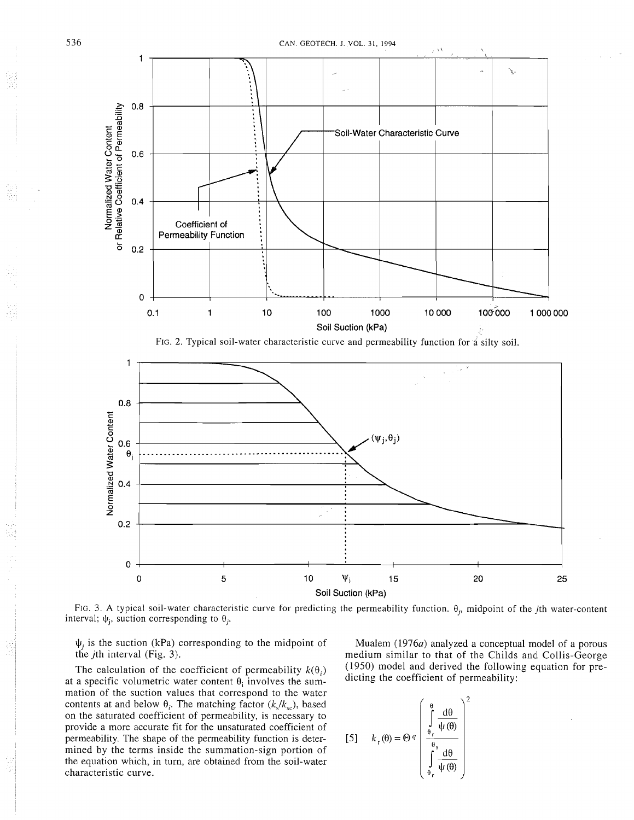







 $\psi_i$  is the suction (kPa) corresponding to the midpoint of the jth interval (Fig. 3).

The calculation of the coefficient of permeability  $k(\theta_i)$ at a specific volumetric water content  $\theta_i$  involves the summation of the suction values that correspond to the water contents at and below  $\theta_i$ . The matching factor ( $k_s/k_{sc}$ ), based on the saturated coefficient of permeability, is necessary to provide a more accurate fit for the unsaturated coefficient of permeability. The shape of the permeability function is determined by the terms inside the summation-sign portion of the equation which, in turn, are obtained from the soil-water characteristic curve.

Mualem (1976a) analyzed a conceptual model of a porous medium similar to that of the Childs and Collis-George (1950) model and derived the following equation for predicting the coefficient of permeability:

$$
[5] \qquad k_r(\theta) = \Theta q \left( \int_{\theta_r}^{\theta} \frac{d\theta}{\psi(\theta)} \right)^2
$$

$$
\int_{\theta_r}^{\theta_s} \frac{d\theta}{\psi(\theta)} \right)
$$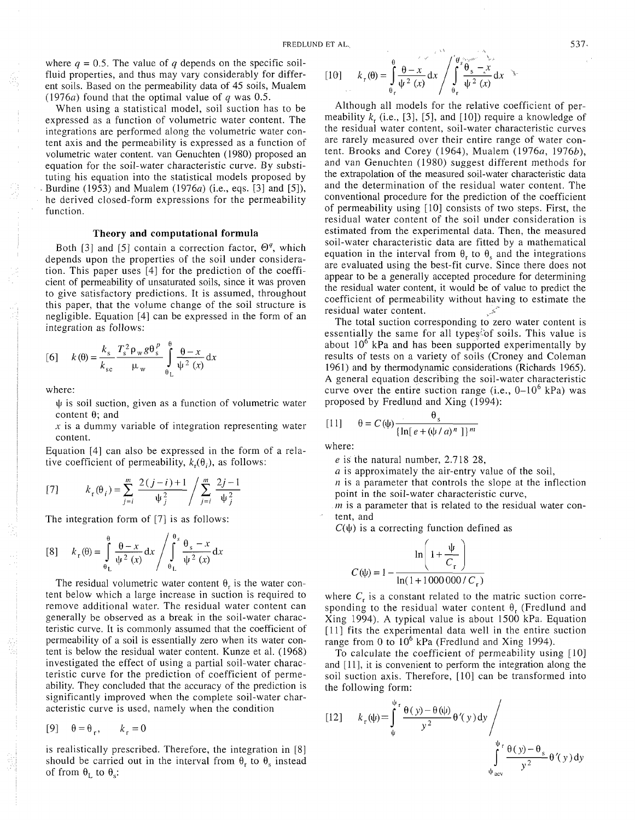where  $q = 0.5$ . The value of q depends on the specific soilfluid properties, and thus may vary considerably for different soils. Based on the permeability data of 45 soils, Mualem (1976a) found that the optimal value of  $q$  was 0.5.

When using a statistical model, soil suction has to be expressed as a function of volumetric water content. The integrations are performed along the volumetric water content axis and the permeability is expressed as a function of volumetric water content. van Genuchten (1980) proposed an equation for the soil-water characteristic curve. By substituting his equation into the statistical models proposed by Burdine (1953) and Mualem (1976a) (i.e., eqs. [3] and [5]), he derived closed-form expressions for the permeability function.

# **Theory and computational formula**

Both [3] and [5] contain a correction factor,  $\Theta^q$ , which depends upon the properties of the soil under consideration. This paper uses [4] for the prediction of the coefficient of permeability of unsaturated soils, since it was proven to give satisfactory predictions. It is assumed, throughout this paper, that the volume change of the soil structure is negligible. Equation [4] can be expressed in the form of an integration as follows:

$$
[6] \qquad k(\theta) = \frac{k_{\rm s}}{k_{\rm sc}} \frac{T_{\rm s}^2 \rho_{\rm w} g \theta_{\rm s}^p}{\mu_{\rm w}} \int_{\theta_{\rm t}}^{\theta} \frac{\theta - x}{\psi^2(x)} dx
$$

where:

 $\psi$  is soil suction, given as a function of volumetric water content  $\theta$ ; and

**s** is a dummy variable of integration representing water content.

Equation [4] can also be expressed in the form of a relative coefficient of permeability,  $k_r(\theta_i)$ , as follows:

 $\sim$ 

[7] 
$$
k_{r}(\theta_{i}) = \sum_{j=i}^{m} \frac{2(j-i)+1}{\psi_{j}^{2}} / \sum_{j=i}^{m} \frac{2j-1}{\psi_{j}^{2}}
$$

The integration form of [7] is as follows:

$$
[8] \qquad k_r(\theta) = \int_{\theta_L}^{\theta} \frac{\theta - x}{\psi^2(x)} dx / \int_{\theta_L}^{\theta_s} \frac{\theta_s - x}{\psi^2(x)} dx
$$

The residual volumetric water content  $\theta_r$  is the water content below which a large increase in suction is required to remove additional water. The residual water content can generally be observed as a break in the soil-water characteristic curve. It is commonly assumed that the coefficient of permeability of a soil is essentially zero when its water content is below the residual water content. Kunze et al. (1968) investigated the effect of using a partial soil-water characteristic curve for the prediction of coefficient of permeability. They concluded that the accuracy of the prediction is significantly improved when the complete soil-water characteristic curve is used, namely when the condition

$$
[9] \quad \theta = \theta_r, \qquad k_r = 0
$$

is realistically prescribed. Therefore, the integration in [8] should be carried out in the interval from  $\theta_r$  to  $\theta_s$  instead of from  $\theta_L$  to  $\theta_s$ :

$$
[1\theta] \qquad k_{\rm r}(\theta) = \int_{\theta_{\rm r}}^{\theta} \frac{\theta - x}{\psi^2(x)} dx / \int_{\theta_{\rm r}}^{\theta_{\rm s}} \frac{\theta_{\rm s} - x}{\psi^2(x)} dx
$$

Although all models for the relative coefficient of permeability  $k_r$ , (i.e., [3], [5], and [10]) require a knowledge of the residual water content, soil-water characteristic curves are rarely measured over their entire range of water content. Brooks and Corey (1964), Mualem (1976 $a$ , 1976 $b$ ), and van Genuchten (1980) suggest different methods for the extrapolation of the measured soil-water characteristic data and the determination of the residual water content. The conventional procedure for the prediction of the coefficient of permeability using 1101 consists of two steps. First, the residual water content of the soil under consideration is estimated from the experimental data. Then, the measured soil-water characteristic data are fitted by a mathematical equation in the interval from  $\theta$ , to  $\theta$ , and the integrations are evaluated using the best-fit curve. Since there does not appear to be a generally accepted procedure for determining the residual water content, it would be of value to predict the coefficient of permeability without having to estimate the residual water content.

The total suction corresponding to zero water content is essentially the same for all types<sup>tor</sup> soils. This value is about  $10^6$  kPa and has been supported experimentally by results of tests on a variety of soils (Croney and Coleman 1961) and by thermodynamic considerations (Richards 1965). A general equation describing the soil-water characteristic curve over the entire suction range (i.e.,  $0-10^6$  kPa) was proposed by Fredlund and Xing (1994):

$$
[11] \qquad \theta = C(\psi) \frac{\theta_s}{\{\ln[e + (\psi / a)^n]\}^m}
$$

where:

*e* is the natural number, 2.7 18 28,

a is approximately the air-entry value of the soil,

 $n$  is a parameter that controls the slope at the inflection point in the soil-water characteristic curve,

*m* is a parameter that is related to the residual water content, and

 $C(\psi)$  is a correcting function defined as

$$
C(\psi) = 1 - \frac{\ln\left(1 + \frac{\psi}{C_r}\right)}{\ln(1 + 1000000/C_r)}
$$

where  $C<sub>r</sub>$  is a constant related to the matric suction corresponding to the residual water content  $\theta_r$  (Fredlund and Xing 1994). A typical value is about 1500 kPa. Equation [ll] fits the experimental data well in the entire suction range from 0 to  $10^6$  kPa (Fredlund and Xing 1994).

To calculate the coefficient of permeability using [10] and [11], it is convenient to perform the integration along the soil suction axis. Therefore, [10] can be transformed into the following form:

$$
\begin{aligned} \text{[12]} \qquad & k_r(\psi) = \int_{\psi}^{\psi_r} \frac{\theta(y) - \theta(\psi)}{y^2} \theta'(y) \, \mathrm{d}y \, \int_{\psi_{\text{acy}}}^{\psi_r} \frac{\theta(y) - \theta_s}{y^2} \theta'(y) \, \mathrm{d}y \end{aligned}
$$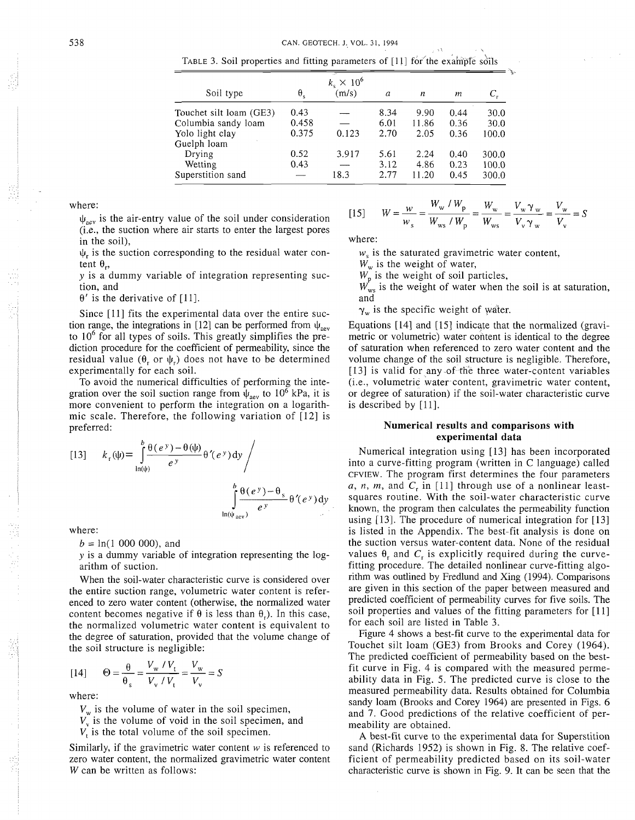TABLE 3. Soil properties and fitting parameters of  $[11]$  for the example soils

| Soil type                                      | $\theta_{\rm c}$ | $k_{\rm s} \times 10^6$<br>(m/s) | a            | n             | т            |                |
|------------------------------------------------|------------------|----------------------------------|--------------|---------------|--------------|----------------|
| Touchet silt loam (GE3)<br>Columbia sandy loam | 0.43<br>0.458    |                                  | 8.34<br>6.01 | 9.90<br>11.86 | 0.44<br>0.36 | 30.0<br>30.0   |
| Yolo light clay                                | 0.375            | 0.123                            | 2.70         | 2.05          | 0.36         | 100.0          |
| Guelph loam<br>Drying                          | 0.52             | 3.917                            | 5.61         | 2.24          | 0.40         | 300.0          |
| Wetting<br>Superstition sand                   | 0.43             | 18.3                             | 3.12<br>2.77 | 4.86<br>11.20 | 0.23<br>0.45 | 100.0<br>300.0 |

where:

 $\psi_{\text{new}}$  is the air-entry value of the soil under consideration (i.e., the suction where air starts to enter the largest pores in the soil),

 $\psi_r$  is the suction corresponding to the residual water content  $\theta$ .,

y is a dummy variable of integration representing suction, and

 $\theta'$  is the derivative of [11].

Since [ll] fits the experimental data over the entire suction range, the integrations in [12] can be performed from  $\psi_{\text{new}}$ to  $10<sup>6</sup>$  for all types of soils. This greatly simplifies the prediction procedure for the coefficient of permeability, since the residual value  $(\theta_r \text{ or } \psi_r)$  does not have to be determined experimentally for each soil.

To avoid the numerical difficulties of performing the integration over the soil suction range from  $\psi_{\text{aev}}$  to 10<sup>6</sup> kPa, it is more convenient to perform the integration on a logarithmic scale. Therefore, the following variation of [I21 is preferred:

$$
[13] \qquad k_r(\psi) = \int_{\ln(\psi)}^{b} \frac{\theta(e^y) - \theta(\psi)}{e^y} \theta'(e^y) dy / \int_{\ln(\psi_{\text{acy}})}^{b} \frac{\theta(e^y) - \theta_s}{e^y} \theta'(e^y) dy
$$

where:

 $b = \ln(1, 000, 000)$ , and

y is a dummy variable of integration representing the logarithm of suction.

When the soil-water characteristic curve is considered over the entire suction range, volumetric water content is referenced to zero water content (otherwise, the normalized water content becomes negative if  $\theta$  is less than  $\theta$ .). In this case, the normalized volumetric water content is equivalent to the degree of saturation, provided that the volume change of the soil structure is negligible:

$$
[14] \qquad \Theta = \frac{\Theta}{\Theta_s} = \frac{V_w / V_t}{V_v / V_t} = \frac{V_w}{V_v} = S
$$

where:

 $V_w$  is the volume of water in the soil specimen,

 $V_{\rm v}$  is the volume of void in the soil specimen, and

V, is the total volume of the soil specimen.

Similarly, if the gravimetric water content  $w$  is referenced to zero water content, the normalized gravimetric water content *W* can be written as follows:

[15] 
$$
W = \frac{w}{w_s} = \frac{W_w / W_p}{W_{ws} / W_p} = \frac{W_w}{W_{ws}} = \frac{V_w \gamma_w}{V_v \gamma_w} = \frac{V_w}{V_v} = S
$$

where:

 $w<sub>s</sub>$  is the saturated gravimetric water content,

*W,* is the weight of water,

*W,* is the weight of soil particles,

 $\Delta t$ 

 $W_{ws}$  is the weight of water when the soil is at saturation, and

 $\gamma_w$  is the specific weight of water.

Equations [14] and [15] indicate that the normalized (gravimetric or volumetric) water content is identical to the degree of saturation when referenced to zero water content and the volume change of the soil structure is negligible. Therefore, [13] is valid for any of the three water-content variables (i.e., volumetric water content, gravimetric water content, or degree of saturation) if the soil-water characteristic curve is described by [ll].

# **Numerical results and comparisons with experimental data**

Numerical integration using [13] has been incorporated into a curve-fitting program (written in C language) called CFVIEW. The program first determines the four parameters a, n, m, and  $C_r$  in [11] through use of a nonlinear leastsquares routine. With the soil-water characteristic curve known, the program then calculates the permeability function using [13]. The procedure of numerical integration for [13] is listed in the Appendix. The best-fit analysis is done on the suction versus water-content data. None of the residual values  $\theta$ , and  $C<sub>r</sub>$  is explicitly required during the curvefitting procedure. The detailed nonlinear curve-fitting algorithm was outlined by Fredlund and Xing (1994). Comparisons are given in this section of the paper between measured and predicted coefficient of permeability curves for five soils. The soil properties and values of the fitting parameters for [11] for each soil are listed in Table 3.

Figure 4 shows a best-fit curve to the experimental data for Touchet silt loam (GE3) from Brooks and Corey (1964). The predicted coefficient of permeability based on the bestfit curve in Fig. 4 is compared with the measured permeability data in Fig. 5. The predicted curve is close to the measured permeability data. Results obtained for Columbia sandy loam (Brooks and Corey 1964) are presented in Figs. 6 and 7. Good predictions of the relative coefficient of permeability are obtained.

A best-fit curve to the experimental data for Superstition sand (Richards 1952) is shown in Fig. 8. The relative coefficient of permeability predicted based on its soil-water characteristic curve is shown in Fig. 9. It can be seen that the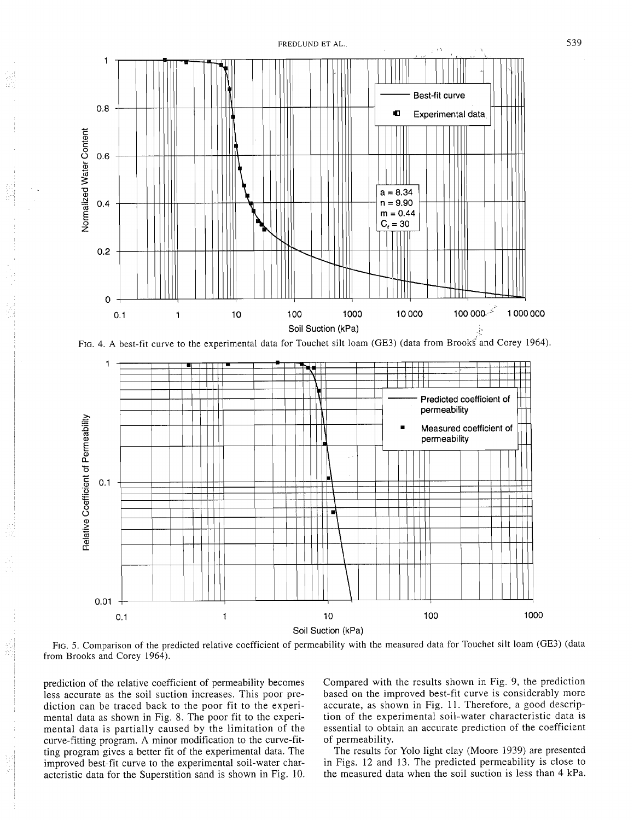

FIG. 4. A best-fit curve to the experimental data for Touchet silt loam (GE3) (data from Brooks and Corey 1964).



FIG. 5. Comparison of the predicted relative coefficient of permeability with the measured data for Touchet silt loam (GE3) (data from Brooks and Corey 1964).

prediction of the relative coefficient of permeability becomes less accurate as the soil suction increases. This poor prediction can be traced back to the poor fit to the experimental data as shown in Fig. 8. The poor fit to the experimental data is partially caused by the limitation of the curve-fitting program. A minor modification to the curve-fitting program gives a better fit of the experimental data. The improved best-fit curve to the experimental soil-water characteristic data for the Superstition sand is shown in Fig. 10.

g)<br>S

Compared with the results shown in Fig. 9, the prediction based on the improved best-fit curve is considerably more accurate, as shown in Fig. 11. Therefore, a good description of the experimental soil-water characteristic data is essential to obtain an accurate prediction of the coefficient of permeability.

The results for Yolo light clay (Moore 1939) are presented in Figs. 12 and 13. The predicted permeability is close to the measured data when the soil suction is less than 4 kPa.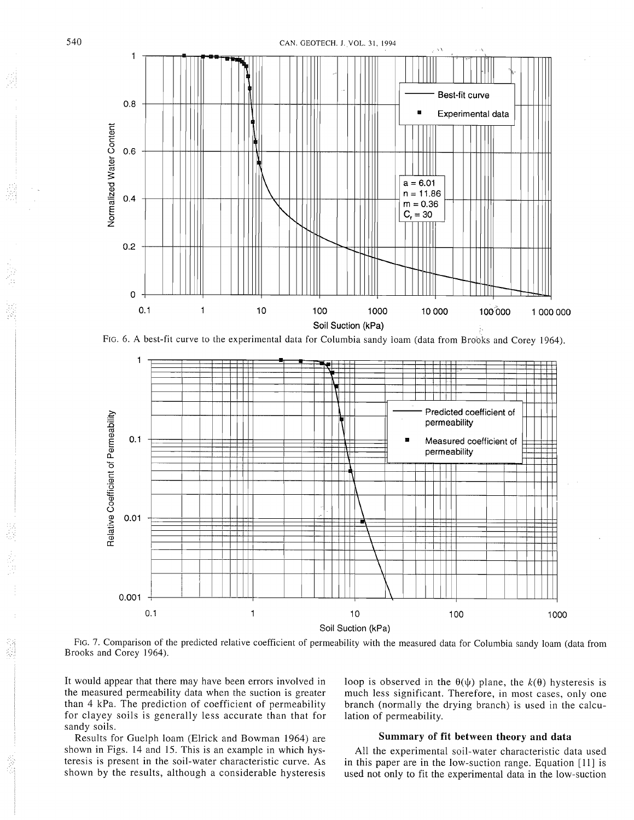

CAN. GEOTECH. J. VOL. 3 **1.** 1994

FIG. 6. **A** best-fit curve to the experimental data for Columbia sandy loam (data from Brooks and Corey 1964).



FIG. 7. Comparison of the predicted relative coefficient of permeability with the measured data for Columbia sandy loam (data from Brooks and Corey 1964).

It would appear that there may have been errors involved in the measured permeability data when the suction is greater than 4 kPa. The prediction of coefficient of permeability for clayey soils is generally less accurate than that for sandy soils.

loop is observed in the  $\theta(\psi)$  plane, the  $k(\theta)$  hysteresis is much less significant. Therefore, in most cases, only one branch (normally the drying branch) is used in the calculation of permeability.

Results for Guelph loam (Elrick and Bowman 1964) are shown in Figs. 14 and 15. This is an example in which hysteresis is present in the soil-water characteristic curve. As shown by the results, although a considerable hysteresis

# **Summary of fit between theory and data**

All the experimental soil-water characteristic data used in this paper are in the low-suction range. Equation [ll] is used not only to fit the experimental data in the low-suction

委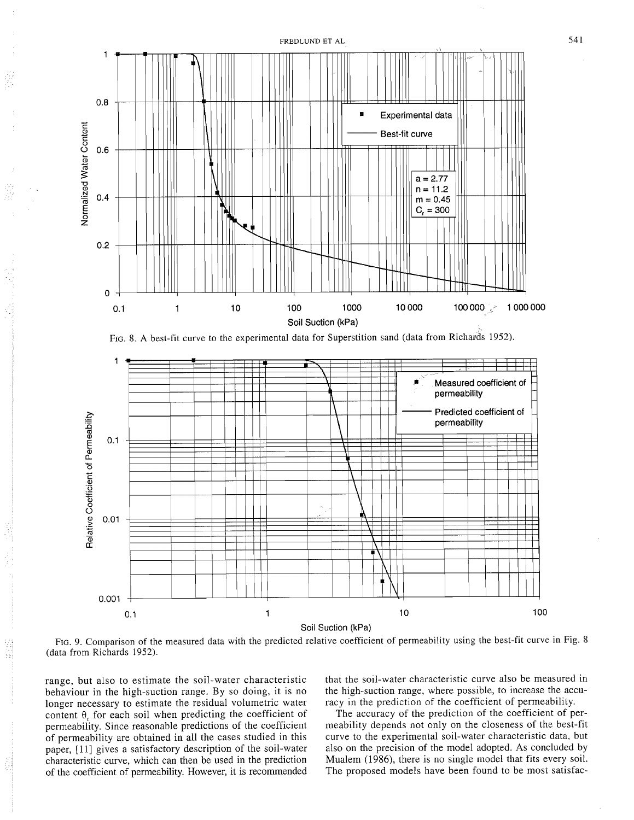





FIG. 9. Comparison of the measured data with the predicted relative coefficient of permeability using the best-fit curve in Fig. 8 (data from Richards 1952).

range, but also to estimate the soil-water characteristic behaviour in the high-suction range. By so doing, it is no longer necessary to estimate the residual volumetric water content  $\theta$ , for each soil when predicting the coefficient of permeability. Since reasonable predictions of the coefficient of permeability are obtained in all the cases studied in this paper, [11] gives a satisfactory description of the soil-water characteristic curve, which can then be used in the prediction of the coefficient of permeability. However, it is recommended

ĝ.

that the soil-water characteristic curve also be measured in the high-suction range, where possible, to increase the accuracy in the prediction of the coefficient of permeability.

The accuracy of the prediction of the coefficient of permeability depends not only on the closeness of the best-fit curve to the experimental soil-water characteristic data, but also on the precision of the model adopted. As concluded by Mualem (1986), there is no single model that fits every soil. The proposed models have been found to be most satisfac-

541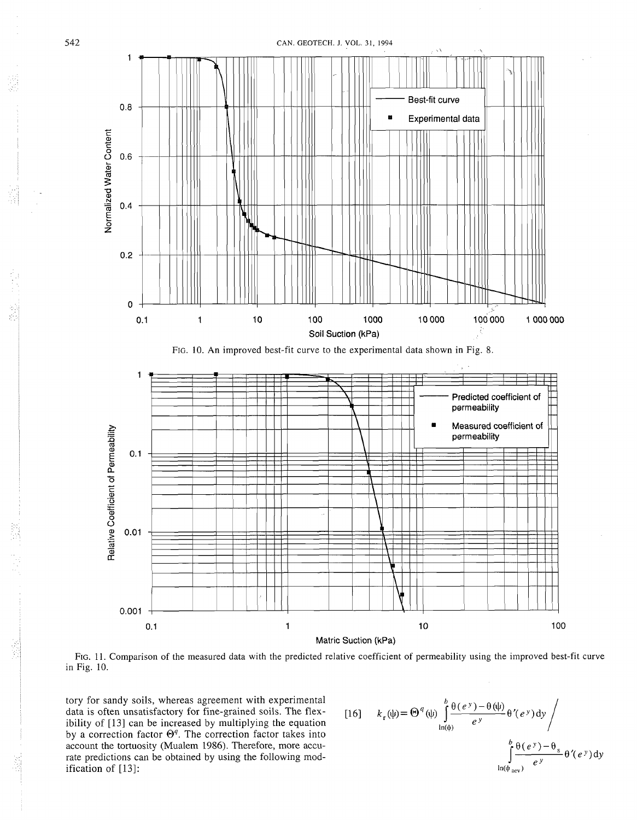

FIG. 11. Comparison of the measured data with the predicted relative coefficient of permeability using the improved best-fit curve in Fig. 10.

tory for sandy soils, whereas agreement with experimental data is often unsatisfactory for fine-grained soils. The flexibility of [13] can be increased by multiplying the equation by a correction factor  $\Theta^q$ . The correction factor takes into account the tortuosity (Mualem 1986). Therefore, more accurate predictions can be obtained by using the following mod ification of [13]:  $\frac{\ln(\psi_{\text{acc}})}{\ln(\psi_{\text{acc}})}$ 

542

Ų

$$
[16] \qquad k_r(\psi) = \Theta^q(\psi) \int_{\ln(\psi)}^b \frac{\theta(e^y) - \theta(\psi)}{e^y} \theta'(e^y) dy / \int_{\ln(\psi_{29})}^b \frac{\theta(e^y) - \theta_s}{e^y} \theta'(e^y) dy
$$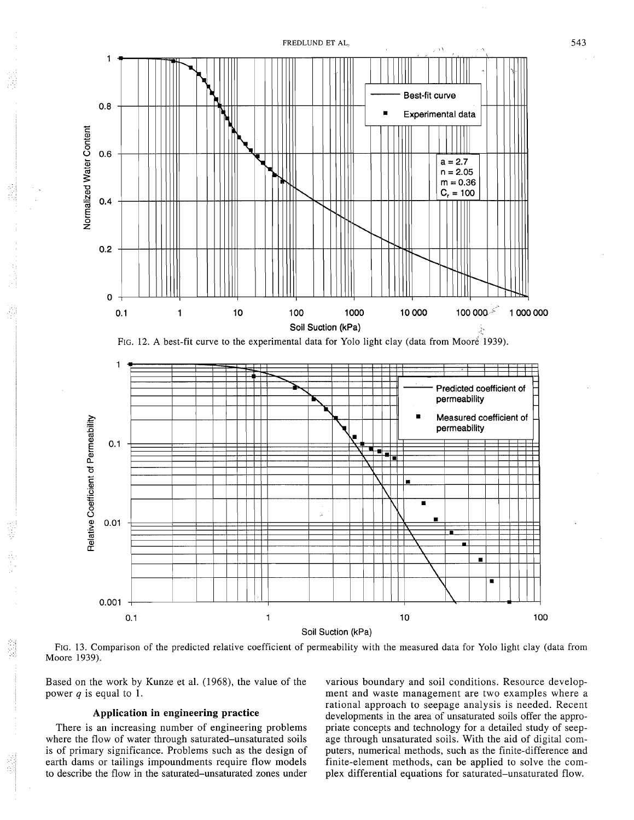

FIG. 13. Comparison of the predicted relative coefficient of permeability with the measured data for Yolo light clay (data from Moore 1939).

Soil Suction (kPa)

Based on the work by Kunze et al. (1968), the value of the various boundary and soil conditions. Resource developpower  $q$  is equal to 1.  $\blacksquare$  nent and waste management are two examples where a

earth dams or tailings impoundments require flow models

rational approach to seepage analysis is needed. Recent **Application in engineering practice** developments in the area of unsaturated soils offer the appro-There is an increasing number of engineering problems priate concepts and technology for a detailed study of seepwhere the flow of water through saturated-unsaturated soils age through unsaturated soils. With the aid of digital com-<br>is of primary significance. Problems such as the design of puters, numerical methods, such as the fini puters, numerical methods, such as the finite-difference and finite-element methods, can be applied to solve the comto describe the flow in the saturated-unsaturated zones under plex differential equations for saturated-unsaturated flow.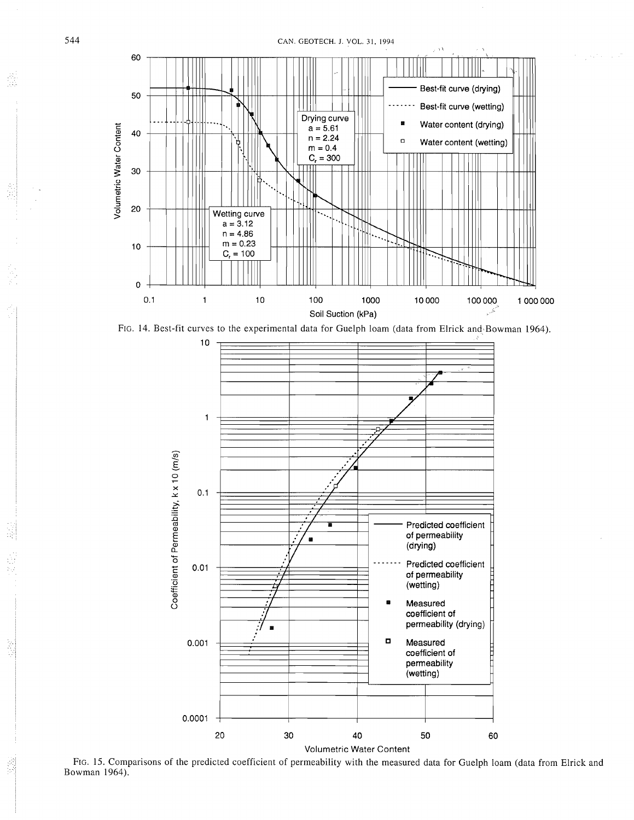





FIG. 15. Comparisons of the predicted coefficient of permeability with the measured data for Guelph loam (data from Elrick and Bowman 1964).

盛

ミ

ś

ł

er<br>Si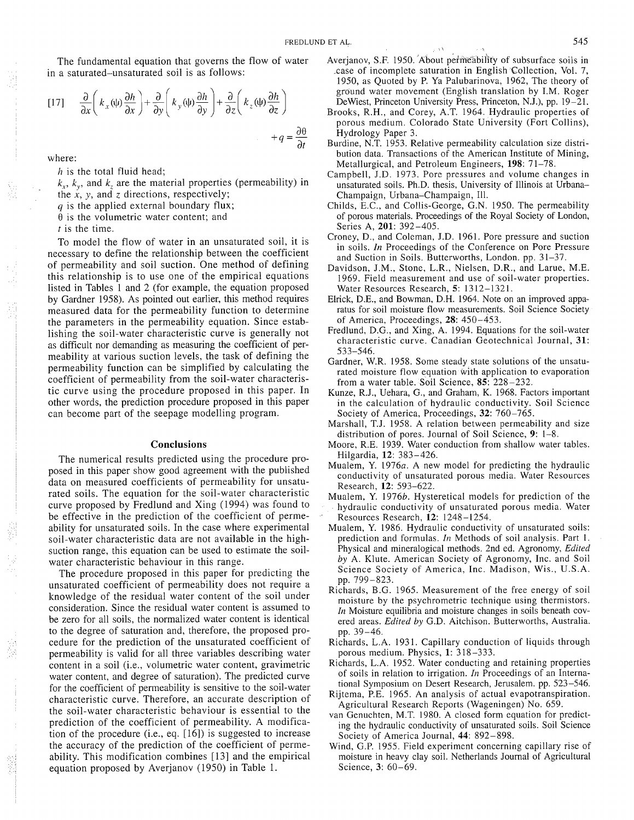The fundamental equation that governs the flow of water in a saturated-unsaturated soil is as follows:

$$
[17] \qquad \frac{\partial}{\partial x} \left( k_x(\psi) \frac{\partial h}{\partial x} \right) + \frac{\partial}{\partial y} \left( k_y(\psi) \frac{\partial h}{\partial y} \right) + \frac{\partial}{\partial z} \left( k_z(\psi) \frac{\partial h}{\partial z} \right) + q = \frac{\partial \theta}{\partial t}
$$

where:

h is the total fluid head;

 $k_x$ ,  $k_y$ , and  $k_z$  are the material properties (permeability) in

the  $\hat{x}$ ,  $y$ , and  $\hat{z}$  directions, respectively;

 $q$  is the applied external boundary flux:

 $\theta$  is the volumetric water content; and

*t* is the time.

To model the flow of water in an unsaturated soil, it is necessary to define the relationship between the coefficient of permeability and soil suction. One method of defining this relationship is to use one of the empirical equations listed in Tables 1 and 2 (for example, the equation proposed by Gardner 1958). As pointed out earlier, this method requires measured data for the permeability function to determine the parameters in the permeability equation. Since establishing the soil-water characteristic curve is generally not as difficult nor demanding as measuring the coefficient of permeability at various suction levels, the task of defining the permeability function can be simplified by calculating the coefficient of permeability from the soil-water characteristic curve using the procedure proposed in this paper. In other words, the prediction procedure proposed in this paper can become part of the seepage modelling program.

# **Conclusions**

The numerical results predicted using the procedure proposed in this paper show good agreement with the published data on measured coefficients of permeability for unsaturated soils. The equation for the soil-water characteristic curve proposed by Fredlund and Xing (1994) was found to be effective in the prediction of the coefficient of permeability for unsaturated soils. In the case where experimental soil-water characteristic data are not available in the highsuction range, this equation can be used to estimate the soilwater characteristic behaviour in this range.

The procedure proposed in this paper for predicting the unsaturated coefficient of permeability does not require a knowledge of the residual water content of the soil under consideration. Since the residual water content is assumed to be zero for all soils, the normalized water content is identical to the degree of saturation and, therefore, the proposed procedure for the prediction of the unsaturated coefficient of permeability is valid for all three variables describing water content in a soil (i.e., volumetric water content, gravimetric water content, and degree of saturation). The predicted curve for the coefficient of permeability is sensitive to the soil-water characteristic curve. Therefore, an accurate description of the soil-water characteristic behaviour is essential to the prediction of the coefficient of permeability. A modification of the procedure (i.e., eq. [16]) is suggested to increase the accuracy of the prediction of the coefficient of permeability. This modification combines [13] and the empirical equation proposed by Averjanov (1950) in Table 1.

Averjanov, S.F. 1950. About permeability of subsurface soils in case of incomplete saturation in English Collection, Vol. 7, 1950, as Quoted by P. Ya Palubarinova, 1962, The theory of ground water movement (English translation by I.M. Roger Dewiest, Princeton University Press, Princeton, N.J.), pp. 19-21.

 $\chi_{\Lambda}$ 

- Brooks, R.H., and Corey, A.T. 1964. Hydraulic properties of porous medium. Colorado State University (Fort Collins), Hydrology Paper 3.
- Burdine, N.T. 1953. Relative permeability calculation size distribution data. Transactions of the American Institute of Mining, Metallurgical, and Petroleum Engineers, 198: 71-78.
- Campbell, J.D. 1973. Pore pressures and volume changes in unsaturated soils. Ph.D. thesis, University of Illinois at Urbana-Champaign, Urbana-Champaign, Ill.
- Childs, E.C., and Collis-George, G.N. 1950. The permeability of porous materials. Proceedings of the Royal Society of London, Series A, 201: 392-405.
- Croney, D., and Coleman, J.D. 1961. Pore pressure and suction in soils. *In* Proceedings of the Conference on Pore Pressure and Suction in Soils. Butterworths, London. pp. 31-37.
- Davidson, J.M., Stone, L.R., Nielsen, D.R., and Larue, M.E. 1969. Field measurement and use of soil-water properties. Water Resources Research, 5: 13 12-1321.
- Elrick, D.E., and Bowman, D.H. 1964. Note on an improved apparatus for soil moisture flow measuremenfs. Soil Science Society of America, Proceedings, 28: 450-453.
- Fredlund, D.G., and Xing, A. 1994. Equations for the soil-water characteristic curve. Canadian Geotechnical Journal, 31: 533-546.
- Gardner, W.R. 1958. Some steady state solutions of the unsaturated moisture flow equation with application to evaporation from a water table. Soil Science, 85: 228-232.
- Kunze, R.J., Uehara, G., and Graham, K. 1968. Factors important in the calculation of hydraulic conductivity. Soil Science Society of America, Proceedings, 32: 760-765.
- Marshall, T.J. 1958. A relation between permeability and size distribution of pores. Journal of Soil Science, 9: 1-8.
- Moore, R.E. 1939. Water conduction from shallow water tables. Hilgardia, 12: 383-426.
- Mualem, Y. 1976a. A new model for predicting the hydraulic conductivity of unsaturated porous media. Water Resources Research, 12: 593-622.
- Mualem, Y. 1976b. Hysteretical models for prediction of the hydraulic conductivity of unsaturated porous media. Water Resources Research, 12: 1248-1254.
- Mualem, Y. 1986. Hydraulic conductivity of unsaturated soils: prediction and formulas. In Methods of soil analysis. Part 1. Physical and mineralogical methods. 2nd ed. Agronomy, *Edited*  by A. Klute. American Society of Agronomy, Inc. and Soil Science Society of America, Inc. Madison, Wis., U.S.A. pp. 799-823.
- Richards, B.G. 1965. Measurement of the free energy of soil moisture by the psychrometric technique using thermistors. *In* Moisture equilibria and moisture changes in soils beneath covered areas. *Edited* by G.D. Aitchison. Butterworths, Australia. pp. 39-46.
- Richards, L.A. 1931. Capillary conduction of liquids through porous medium. Physics, 1: 3 18-333.
- Richards, L.A. 1952. Water conducting and retaining properties of soils in relation to irrigation. *In* Proceedings of an International Symposium on Desert Research, Jerusalem. pp. 523-546.
- Rijtema, P.E. 1965. An analysis of actual evapotranspiration. Agricultural Research Reports (Wageningen) No. 659.
- van Genuchten, M.T. 1980. A closed form equation for predicting the hydraulic conductivity of unsaturated soils. Soil Science Society of America Journal, 44: 892-898.
- Wind, G.P. 1955. Field experiment concerning capillary rise of moisture in heavy clay soil. Netherlands Journal of Agricultural Science, 3: 60-69.